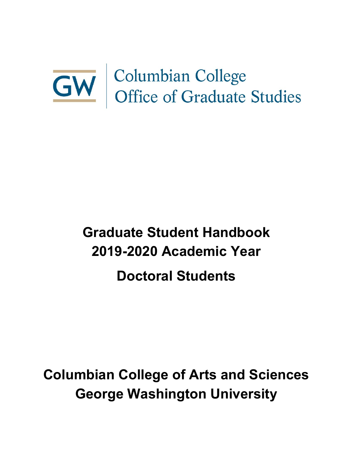# **GW** Columbian College<br>Office of Graduate Studies

# **Graduate Student Handbook 2019-2020 Academic Year Doctoral Students**

**Columbian College of Arts and Sciences George Washington University**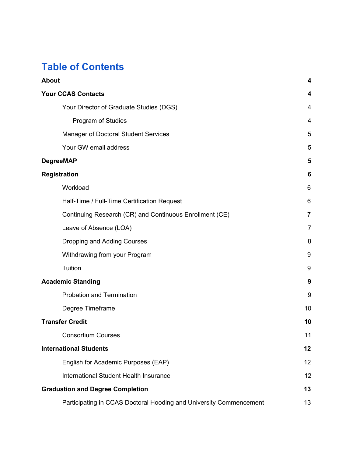# **Table of Contents**

| <b>About</b>                                                       | 4              |
|--------------------------------------------------------------------|----------------|
| <b>Your CCAS Contacts</b>                                          | 4              |
| Your Director of Graduate Studies (DGS)                            | 4              |
| Program of Studies                                                 | 4              |
| <b>Manager of Doctoral Student Services</b>                        | 5              |
| Your GW email address                                              | 5              |
| <b>DegreeMAP</b>                                                   | 5              |
| <b>Registration</b>                                                | 6              |
| Workload                                                           | 6              |
| Half-Time / Full-Time Certification Request                        | 6              |
| Continuing Research (CR) and Continuous Enrollment (CE)            | $\overline{7}$ |
| Leave of Absence (LOA)                                             | $\overline{7}$ |
| Dropping and Adding Courses                                        | 8              |
| Withdrawing from your Program                                      | 9              |
| Tuition                                                            | 9              |
| <b>Academic Standing</b>                                           | 9              |
| <b>Probation and Termination</b>                                   | 9              |
| Degree Timeframe                                                   | 10             |
| <b>Transfer Credit</b>                                             | 10             |
| <b>Consortium Courses</b>                                          | 11             |
| <b>International Students</b>                                      | 12             |
| English for Academic Purposes (EAP)                                | 12             |
| <b>International Student Health Insurance</b>                      | 12             |
| <b>Graduation and Degree Completion</b>                            | 13             |
| Participating in CCAS Doctoral Hooding and University Commencement | 13             |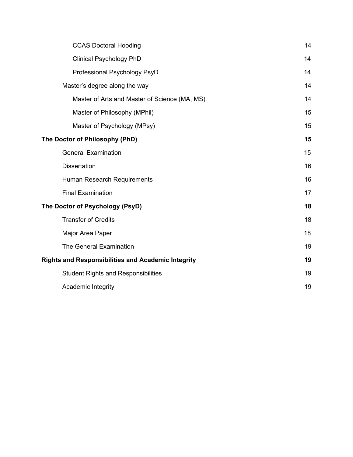| <b>CCAS Doctoral Hooding</b>                              | 14 |
|-----------------------------------------------------------|----|
| <b>Clinical Psychology PhD</b>                            | 14 |
| Professional Psychology PsyD                              | 14 |
| Master's degree along the way                             | 14 |
| Master of Arts and Master of Science (MA, MS)             | 14 |
| Master of Philosophy (MPhil)                              | 15 |
| Master of Psychology (MPsy)                               | 15 |
| The Doctor of Philosophy (PhD)                            | 15 |
| <b>General Examination</b>                                | 15 |
| <b>Dissertation</b>                                       | 16 |
| Human Research Requirements                               | 16 |
| <b>Final Examination</b>                                  | 17 |
| The Doctor of Psychology (PsyD)                           | 18 |
| <b>Transfer of Credits</b>                                | 18 |
| Major Area Paper                                          | 18 |
| The General Examination                                   | 19 |
| <b>Rights and Responsibilities and Academic Integrity</b> | 19 |
| <b>Student Rights and Responsibilities</b>                | 19 |
| Academic Integrity                                        | 19 |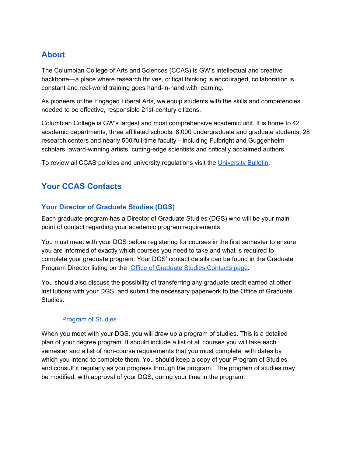# <span id="page-3-0"></span>**About**

The Columbian College of Arts and Sciences (CCAS) is GW's intellectual and creative backbone—a place where research thrives, critical thinking is encouraged, collaboration is constant and real-world training goes hand-in-hand with learning.

As pioneers of the Engaged Liberal Arts, we equip students with the skills and competencies needed to be effective, responsible 21st-century citizens.

Columbian College is GW's largest and most comprehensive academic unit. It is home to 42 academic departments, three affiliated schools, 8,000 undergraduate and graduate students, 28 research centers and nearly 500 full-time faculty—including Fulbright and Guggenheim scholars, award-winning artists, cutting-edge scientists and critically acclaimed authors.

To review all CCAS policies and university regulations visit the [University](http://bulletin.gwu.edu/arts-sciences/) Bulletin.

# <span id="page-3-1"></span>**Your CCAS Contacts**

#### <span id="page-3-2"></span>**Your Director of Graduate Studies (DGS)**

Each graduate program has a Director of Graduate Studies (DGS) who will be your main point of contact regarding your academic program requirements.

You must meet with your DGS before registering for courses in the first semester to ensure you are informed of exactly which courses you need to take and what is required to complete your graduate program. Your DGS' contact details can be found in the [Graduate](https://columbian.gwu.edu/program-directors) [Program](https://columbian.gwu.edu/program-directors) Director listing on the Office of [Graduate](https://columbian.gwu.edu/program-directors) Studies Contacts page.

You should also discuss the possibility of transferring any graduate credit earned at other institutions with your DGS, and submit the necessary paperwork to the Office of Graduate Studies.

#### Program of Studies

<span id="page-3-3"></span>When you meet with your DGS, you will draw up a program of studies. This is a detailed plan of your degree program. It should include a list of all courses you will take each semester and a list of non-course requirements that you must complete, with dates by which you intend to complete them. You should keep a copy of your Program of Studies and consult it regularly as you progress through the program. The program of studies may be modified, with approval of your DGS, during your time in the program.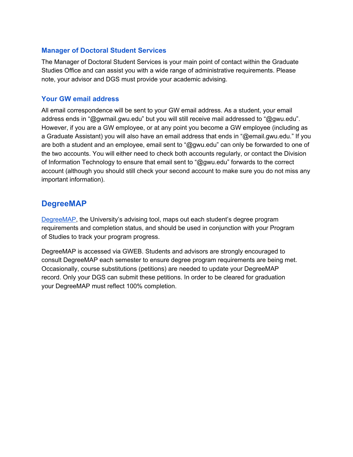#### <span id="page-4-0"></span>**Manager of Doctoral Student Services**

The Manager of Doctoral Student Services is your main point of contact within the Graduate Studies Office and can assist you with a wide range of administrative requirements. Please note, your advisor and DGS must provide your academic advising.

#### <span id="page-4-1"></span>**Your GW email address**

All email correspondence will be sent to your GW email address. As a student, your email address ends in "@gwmail.gwu.edu" but you will still receive mail addressed to "@gwu.edu". However, if you are a GW employee, or at any point you become a GW employee (including as a Graduate Assistant) you will also have an email address that ends in "@email.gwu.edu." If you are both a student and an employee, email sent to "@gwu.edu" can only be forwarded to one of the two accounts. You will either need to check both accounts regularly, or contact the Division of Information Technology to ensure that email sent to "@gwu.edu" forwards to the correct account (although you should still check your second account to make sure you do not miss any important information).

#### <span id="page-4-2"></span>**DegreeMAP**

[DegreeMAP,](https://registrar.gwu.edu/students) the University's advising tool, maps out each student's degree program requirements and completion status, and should be used in conjunction with your Program of Studies to track your program progress.

DegreeMAP is accessed via GWEB. Students and advisors are strongly encouraged to consult DegreeMAP each semester to ensure degree program requirements are being met. Occasionally, course substitutions (petitions) are needed to update your DegreeMAP record. Only your DGS can submit these petitions. In order to be cleared for graduation your DegreeMAP must reflect 100% completion.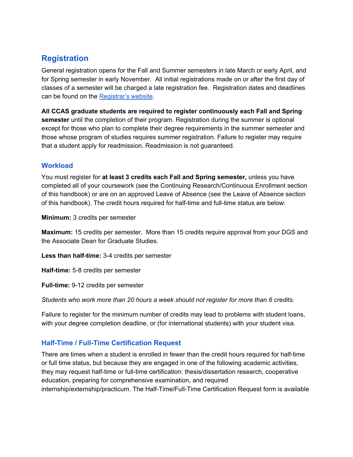# <span id="page-5-0"></span>**Registration**

General registration opens for the Fall and Summer semesters in late March or early April, and for Spring semester in early November. All initial registrations made on or after the first day of classes of a semester will be charged a late registration fee. Registration dates and deadlines can be found on the [Registrar's](http://registrar.gwu.edu/) website.

**All CCAS graduate students are required to register continuously each Fall and Spring semester** until the completion of their program. Registration during the summer is optional except for those who plan to complete their degree requirements in the summer semester and those whose program of studies requires summer registration. Failure to register may require that a student apply for readmission. Readmission is not guaranteed.

#### <span id="page-5-1"></span>**Workload**

You must register for **at least 3 credits each Fall and Spring semester,** unless you have completed all of your coursework (see the Continuing Research/Continuous Enrollment section of this handbook) or are on an approved Leave of Absence (see the Leave of Absence section of this handbook). The credit hours required for half-time and full-time status are below:

**Minimum:** 3 credits per semester

**Maximum:** 15 credits per semester. More than 15 credits require approval from your DGS and the Associate Dean for Graduate Studies.

**Less than half-time:** 3-4 credits per semester

**Half-time:** 5-8 credits per semester

**Full-time:** 9-12 credits per semester

*Students who work more than 20 hours a week should not register for more than 6 credits.*

Failure to register for the minimum number of credits may lead to problems with student loans, with your degree completion deadline, or (for international students) with your student visa.

#### <span id="page-5-2"></span>**Half-Time / Full-Time Certification Request**

There are times when a student is enrolled in fewer than the credit hours required for half-time or full time status, but because they are engaged in one of the following academic activities, they may request half-time or full-time certification: thesis/dissertation research, cooperative education, preparing for comprehensive examination, and required internship/externship/practicum. The Half-Time/Full-Time Certification Request form is available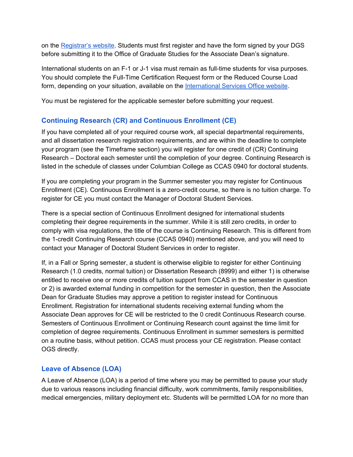on the [Registrar's](http://registrar.gwu.edu/forms) website. Students must first register and have the form signed by your DGS before submitting it to the Office of Graduate Studies for the Associate Dean's signature.

International students on an F-1 or J-1 visa must remain as full-time students for visa purposes. You should complete the Full-Time Certification Request form or the Reduced Course Load form, depending on your situation, available on th[e](http://internationalservices.gwu.edu/) [International](http://internationalservices.gwu.edu/) Services Office website.

You must be registered for the applicable semester before submitting your request.

#### <span id="page-6-0"></span>**Continuing Research (CR) and Continuous Enrollment (CE)**

If you have completed all of your required course work, all special departmental requirements, and all dissertation research registration requirements, and are within the deadline to complete your program (see the Timeframe section) you will register for one credit of (CR) Continuing Research – Doctoral each semester until the completion of your degree. Continuing Research is listed in the schedule of classes under Columbian College as CCAS 0940 for doctoral students.

If you are completing your program in the Summer semester you may register for Continuous Enrollment (CE). Continuous Enrollment is a zero-credit course, so there is no tuition charge. To register for CE you must contact the Manager of Doctoral Student Services.

There is a special section of Continuous Enrollment designed for international students completing their degree requirements in the summer. While it is still zero credits, in order to comply with visa regulations, the title of the course is Continuing Research. This is different from the 1-credit Continuing Research course (CCAS 0940) mentioned above, and you will need to contact your Manager of Doctoral Student Services in order to register.

If, in a Fall or Spring semester, a student is otherwise eligible to register for either Continuing Research (1.0 credits, normal tuition) or Dissertation Research (8999) and either 1) is otherwise entitled to receive one or more credits of tuition support from CCAS in the semester in question or 2) is awarded external funding in competition for the semester in question, then the Associate Dean for Graduate Studies may approve a petition to register instead for Continuous Enrollment. Registration for international students receiving external funding whom the Associate Dean approves for CE will be restricted to the 0 credit Continuous Research course. Semesters of Continuous Enrollment or Continuing Research count against the time limit for completion of degree requirements. Continuous Enrollment in summer semesters is permitted on a routine basis, without petition. CCAS must process your CE registration. Please contact OGS directly.

#### <span id="page-6-1"></span>**Leave of Absence (LOA)**

A Leave of Absence (LOA) is a period of time where you may be permitted to pause your study due to various reasons including financial difficulty, work commitments, family responsibilities, medical emergencies, military deployment etc. Students will be permitted LOA for no more than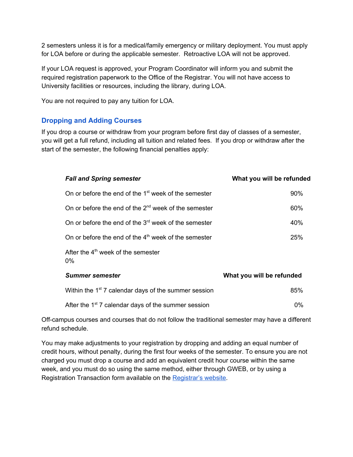2 semesters unless it is for a medical/family emergency or military deployment. You must apply for LOA before or during the applicable semester. Retroactive LOA will not be approved.

If your LOA request is approved, your Program Coordinator will inform you and submit the required registration paperwork to the Office of the Registrar. You will not have access to University facilities or resources, including the library, during LOA.

You are not required to pay any tuition for LOA.

#### <span id="page-7-0"></span>**Dropping and Adding Courses**

If you drop a course or withdraw from your program before first day of classes of a semester, you will get a full refund, including all tuition and related fees. If you drop or withdraw after the start of the semester, the following financial penalties apply:

| <b>Fall and Spring semester</b>                                  | What you will be refunded |  |
|------------------------------------------------------------------|---------------------------|--|
| On or before the end of the 1 <sup>st</sup> week of the semester | 90%                       |  |
| On or before the end of the $2^{nd}$ week of the semester        | 60%                       |  |
| On or before the end of the $3rd$ week of the semester           | 40%                       |  |
| On or before the end of the $4th$ week of the semester           | 25%                       |  |
| After the $4th$ week of the semester<br>$0\%$                    |                           |  |
| <b>Summer semester</b>                                           | What you will be refunded |  |
| Within the 1 <sup>st</sup> 7 calendar days of the summer session | 85%                       |  |
| After the 1 <sup>st</sup> 7 calendar days of the summer session  | $0\%$                     |  |

Off-campus courses and courses that do not follow the traditional semester may have a different refund schedule.

You may make adjustments to your registration by dropping and adding an equal number of credit hours, without penalty, during the first four weeks of the semester. To ensure you are not charged you must drop a course and add an equivalent credit hour course within the same week, and you must do so using the same method, either through GWEB, or by using a Registration Transaction form available on the [Registrar's](http://registrar.gwu.edu/forms) website.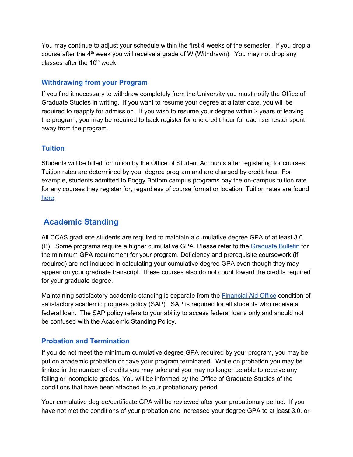You may continue to adjust your schedule within the first 4 weeks of the semester. If you drop a course after the 4<sup>th</sup> week you will receive a grade of W (Withdrawn). You may not drop any classes after the 10<sup>th</sup> week.

#### <span id="page-8-0"></span>**Withdrawing from your Program**

If you find it necessary to withdraw completely from the University you must notify the Office of Graduate Studies in writing. If you want to resume your degree at a later date, you will be required to reapply for admission. If you wish to resume your degree within 2 years of leaving the program, you may be required to back register for one credit hour for each semester spent away from the program.

#### <span id="page-8-1"></span>**Tuition**

Students will be billed for tuition by the Office of Student Accounts after registering for courses. Tuition rates are determined by your degree program and are charged by credit hour. For example, students admitted to Foggy Bottom campus programs pay the on-campus tuition rate for any courses they register for, regardless of course format or location. Tuition rates are found [here](https://studentaccounts.gwu.edu/graduate-tuition).

# <span id="page-8-2"></span>**Academic Standing**

All CCAS graduate students are required to maintain a cumulative degree GPA of at least 3.0 (B). Some programs require a higher cumulative GPA. Please refer to the [Graduate](http://bulletin.gwu.edu/) Bulletin for the minimum GPA requirement for your program. Deficiency and prerequisite coursework (if required) are not included in calculating your cumulative degree GPA even though they may appear on your graduate transcript. These courses also do not count toward the credits required for your graduate degree.

Maintaining satisfactory academic standing is separate from the [Financial](http://financialaid.gwu.edu/) Aid Office condition of satisfactory academic progress policy (SAP). SAP is required for all students who receive a federal loan. The SAP policy refers to your ability to access federal loans only and should not be confused with the Academic Standing Policy.

#### <span id="page-8-3"></span>**Probation and Termination**

If you do not meet the minimum cumulative degree GPA required by your program, you may be put on academic probation or have your program terminated. While on probation you may be limited in the number of credits you may take and you may no longer be able to receive any failing or incomplete grades. You will be informed by the Office of Graduate Studies of the conditions that have been attached to your probationary period.

Your cumulative degree/certificate GPA will be reviewed after your probationary period. If you have not met the conditions of your probation and increased your degree GPA to at least 3.0, or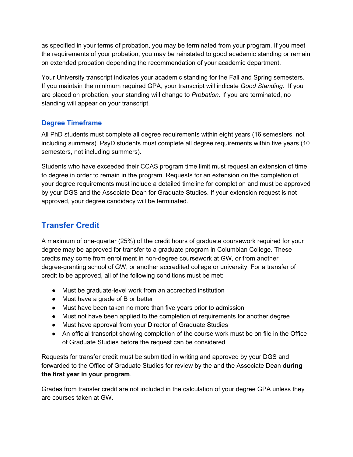as specified in your terms of probation, you may be terminated from your program. If you meet the requirements of your probation, you may be reinstated to good academic standing or remain on extended probation depending the recommendation of your academic department.

Your University transcript indicates your academic standing for the Fall and Spring semesters. If you maintain the minimum required GPA, your transcript will indicate *Good Standing*. If you are placed on probation, your standing will change to *Probation*. If you are terminated, no standing will appear on your transcript.

#### <span id="page-9-0"></span>**Degree Timeframe**

All PhD students must complete all degree requirements within eight years (16 semesters, not including summers). PsyD students must complete all degree requirements within five years (10 semesters, not including summers).

Students who have exceeded their CCAS program time limit must request an extension of time to degree in order to remain in the program. Requests for an extension on the completion of your degree requirements must include a detailed timeline for completion and must be approved by your DGS and the Associate Dean for Graduate Studies. If your extension request is not approved, your degree candidacy will be terminated.

# <span id="page-9-1"></span>**Transfer Credit**

A maximum of one-quarter (25%) of the credit hours of graduate coursework required for your degree may be approved for transfer to a graduate program in Columbian College. These credits may come from enrollment in non-degree coursework at GW, or from another degree-granting school of GW, or another accredited college or university. For a transfer of credit to be approved, all of the following conditions must be met:

- Must be graduate-level work from an accredited institution
- Must have a grade of B or better
- Must have been taken no more than five years prior to admission
- Must not have been applied to the completion of requirements for another degree
- Must have approval from your Director of Graduate Studies
- An official transcript showing completion of the course work must be on file in the Office of Graduate Studies before the request can be considered

Requests for transfer credit must be submitted in writing and approved by your DGS and forwarded to the Office of Graduate Studies for review by the and the Associate Dean **during the first year in your program**.

Grades from transfer credit are not included in the calculation of your degree GPA unless they are courses taken at GW.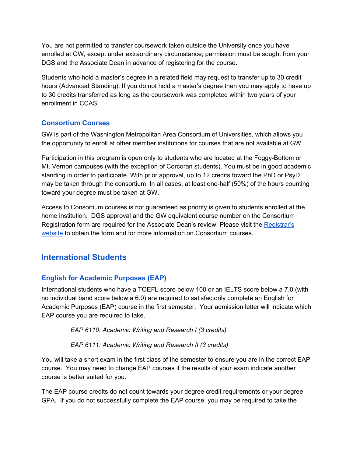You are not permitted to transfer coursework taken outside the University once you have enrolled at GW, except under extraordinary circumstance; permission must be sought from your DGS and the Associate Dean in advance of registering for the course.

Students who hold a master's degree in a related field may request to transfer up to 30 credit hours (Advanced Standing). If you do not hold a master's degree then you may apply to have up to 30 credits transferred as long as the coursework was completed within two years of your enrollment in CCAS.

#### <span id="page-10-0"></span>**Consortium Courses**

GW is part of the Washington Metropolitan Area Consortium of Universities, which allows you the opportunity to enroll at other member institutions for courses that are not available at GW.

Participation in this program is open only to students who are located at the Foggy-Bottom or Mt. Vernon campuses (with the exception of Corcoran students). You must be in good academic standing in order to participate. With prior approval, up to 12 credits toward the PhD or PsyD may be taken through the consortium. In all cases, at least one-half (50%) of the hours counting toward your degree must be taken at GW.

Access to Consortium courses is not guaranteed as priority is given to students enrolled at the home institution. DGS approval and the GW equivalent course number on the Consortium Registration form are required for the Associate Dean's review. Please visit th[e](http://registrar.gwu.edu/consortium) [Registrar's](http://registrar.gwu.edu/consortium) [website](http://registrar.gwu.edu/consortium) to obtain the form and for more information on Consortium courses.

# <span id="page-10-1"></span>**International Students**

#### <span id="page-10-2"></span>**English for Academic Purposes (EAP)**

International students who have a TOEFL score below 100 or an IELTS score below a 7.0 (with no individual band score below a 6.0) are required to satisfactorily complete an English for Academic Purposes (EAP) course in the first semester. Your admission letter will indicate which EAP course you are required to take.

*EAP 6110: Academic Writing and Research I (3 credits)*

#### *EAP 6111: Academic Writing and Research II (3 credits)*

You will take a short exam in the first class of the semester to ensure you are in the correct EAP course. You may need to change EAP courses if the results of your exam indicate another course is better suited for you.

The EAP course credits do not count towards your degree credit requirements or your degree GPA. If you do not successfully complete the EAP course, you may be required to take the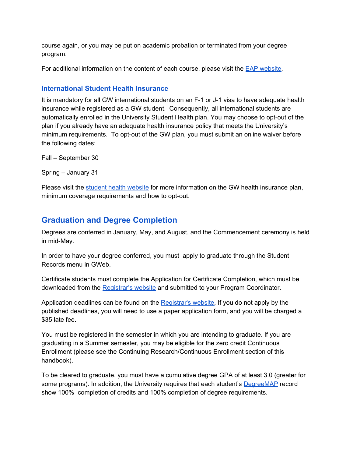course again, or you may be put on academic probation or terminated from your degree program.

For additional information on the content of each course, please visit the [E](http://eap.columbian.gwu.edu/)AP [website](http://eap.columbian.gwu.edu/).

#### <span id="page-11-0"></span>**International Student Health Insurance**

It is mandatory for all GW international students on an F-1 or J-1 visa to have adequate health insurance while registered as a GW student. Consequently, all international students are automatically enrolled in the University Student Health plan. You may choose to opt-out of the plan if you already have an adequate health insurance policy that meets the University's minimum requirements. To opt-out of the GW plan, you must submit an online waiver before the following dates:

Fall – September 30

Spring – January 31

Please visit the student health [website](https://healthcenter.gwu.edu/student-health-insurance) for more information on the GW health insurance plan, minimum coverage requirements and how to opt-out.

### <span id="page-11-1"></span>**Graduation and Degree Completion**

Degrees are conferred in January, May, and August, and the Commencement ceremony is held in mid-May.

In order to have your degree conferred, you must apply to graduate through the Student Records menu in GWeb.

Certificate students must complete the Application for Certificate Completion, which must be downloaded from the [Registrar's](http://registrar.gwu.edu/forms) website and submitted to your Program Coordinator.

Application deadlines can be found on th[e](http://registrar.gwu.edu/online-graduation-application-instructions) [Registrar's](http://registrar.gwu.edu/online-graduation-application-instructions) website. If you do not apply by the published deadlines, you will need to use a paper application form, and you will be charged a \$35 late fee.

You must be registered in the semester in which you are intending to graduate. If you are graduating in a Summer semester, you may be eligible for the zero credit Continuous Enrollment (please see the Continuing Research/Continuous Enrollment section of this handbook).

To be cleared to graduate, you must have a cumulative degree GPA of at least 3.0 (greater for some programs). In addition, the University requires that each student's [DegreeMAP](https://registrar.gwu.edu/students) record show 100% completion of credits and 100% completion of degree requirements.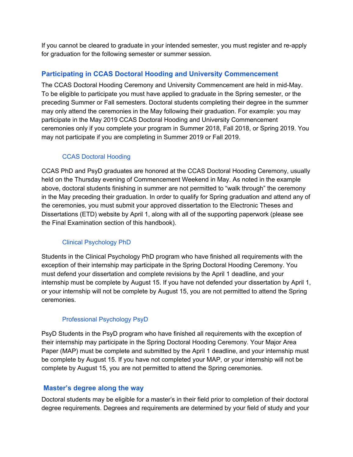If you cannot be cleared to graduate in your intended semester, you must register and re-apply for graduation for the following semester or summer session.

#### <span id="page-12-0"></span>**Participating in CCAS Doctoral Hooding and University Commencement**

The CCAS Doctoral Hooding Ceremony and University Commencement are held in mid-May. To be eligible to participate you must have applied to graduate in the Spring semester, or the preceding Summer or Fall semesters. Doctoral students completing their degree in the summer may only attend the ceremonies in the May following their graduation. For example: you may participate in the May 2019 CCAS Doctoral Hooding and University Commencement ceremonies only if you complete your program in Summer 2018, Fall 2018, or Spring 2019. You may not participate if you are completing in Summer 2019 or Fall 2019.

#### CCAS Doctoral Hooding

<span id="page-12-1"></span>CCAS PhD and PsyD graduates are honored at the CCAS Doctoral Hooding Ceremony, usually held on the Thursday evening of Commencement Weekend in May. As noted in the example above, doctoral students finishing in summer are not permitted to "walk through" the ceremony in the May preceding their graduation. In order to qualify for Spring graduation and attend any of the ceremonies, you must submit your approved dissertation to the Electronic Theses and Dissertations (ETD) website by April 1, along with all of the supporting paperwork (please see the Final Examination section of this handbook).

#### Clinical Psychology PhD

<span id="page-12-2"></span>Students in the Clinical Psychology PhD program who have finished all requirements with the exception of their internship may participate in the Spring Doctoral Hooding Ceremony. You must defend your dissertation and complete revisions by the April 1 deadline, and your internship must be complete by August 15. If you have not defended your dissertation by April 1, or your internship will not be complete by August 15, you are not permitted to attend the Spring ceremonies.

#### Professional Psychology PsyD

<span id="page-12-3"></span>PsyD Students in the PsyD program who have finished all requirements with the exception of their internship may participate in the Spring Doctoral Hooding Ceremony. Your Major Area Paper (MAP) must be complete and submitted by the April 1 deadline, and your internship must be complete by August 15. If you have not completed your MAP, or your internship will not be complete by August 15, you are not permitted to attend the Spring ceremonies.

#### <span id="page-12-4"></span> **Master's degree along the way**

Doctoral students may be eligible for a master's in their field prior to completion of their doctoral degree requirements. Degrees and requirements are determined by your field of study and your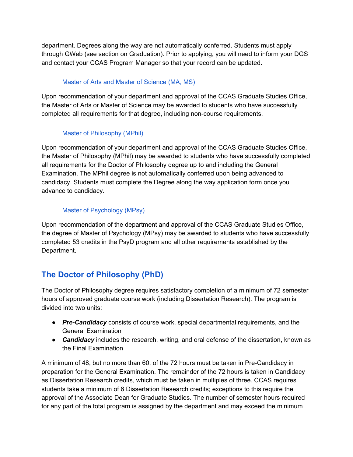department. Degrees along the way are not automatically conferred. Students must apply through GWeb (see section on Graduation). Prior to applying, you will need to inform your DGS and contact your CCAS Program Manager so that your record can be updated.

#### Master of Arts and Master of Science (MA, MS)

<span id="page-13-0"></span>Upon recommendation of your department and approval of the CCAS Graduate Studies Office, the Master of Arts or Master of Science may be awarded to students who have successfully completed all requirements for that degree, including non-course requirements.

#### Master of Philosophy (MPhil)

<span id="page-13-1"></span>Upon recommendation of your department and approval of the CCAS Graduate Studies Office, the Master of Philosophy (MPhil) may be awarded to students who have successfully completed all requirements for the Doctor of Philosophy degree up to and including the General Examination. The MPhil degree is not automatically conferred upon being advanced to candidacy. Students must complete the Degree along the way application form once you advance to candidacy.

#### Master of Psychology (MPsy)

<span id="page-13-2"></span>Upon recommendation of the department and approval of the CCAS Graduate Studies Office, the degree of Master of Psychology (MPsy) may be awarded to students who have successfully completed 53 credits in the PsyD program and all other requirements established by the Department.

# <span id="page-13-3"></span>**The Doctor of Philosophy (PhD)**

The Doctor of Philosophy degree requires satisfactory completion of a minimum of 72 semester hours of approved graduate course work (including Dissertation Research). The program is divided into two units:

- *Pre-Candidacy* consists of course work, special departmental requirements, and the General Examination
- *Candidacy* includes the research, writing, and oral defense of the dissertation, known as the Final Examination

A minimum of 48, but no more than 60, of the 72 hours must be taken in Pre-Candidacy in preparation for the General Examination. The remainder of the 72 hours is taken in Candidacy as Dissertation Research credits, which must be taken in multiples of three. CCAS requires students take a minimum of 6 Dissertation Research credits; exceptions to this require the approval of the Associate Dean for Graduate Studies. The number of semester hours required for any part of the total program is assigned by the department and may exceed the minimum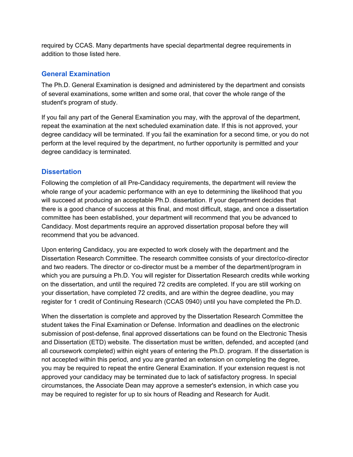required by CCAS. Many departments have special departmental degree requirements in addition to those listed here.

#### <span id="page-14-0"></span>**General Examination**

The Ph.D. General Examination is designed and administered by the department and consists of several examinations, some written and some oral, that cover the whole range of the student's program of study.

If you fail any part of the General Examination you may, with the approval of the department, repeat the examination at the next scheduled examination date. If this is not approved, your degree candidacy will be terminated. If you fail the examination for a second time, or you do not perform at the level required by the department, no further opportunity is permitted and your degree candidacy is terminated.

#### <span id="page-14-1"></span>**Dissertation**

Following the completion of all Pre-Candidacy requirements, the department will review the whole range of your academic performance with an eye to determining the likelihood that you will succeed at producing an acceptable Ph.D. dissertation. If your department decides that there is a good chance of success at this final, and most difficult, stage, and once a dissertation committee has been established, your department will recommend that you be advanced to Candidacy. Most departments require an approved dissertation proposal before they will recommend that you be advanced.

Upon entering Candidacy, you are expected to work closely with the department and the Dissertation Research Committee. The research committee consists of your director/co-director and two readers. The director or co-director must be a member of the department/program in which you are pursuing a Ph.D. You will register for Dissertation Research credits while working on the dissertation, and until the required 72 credits are completed. If you are still working on your dissertation, have completed 72 credits, and are within the degree deadline, you may register for 1 credit of Continuing Research (CCAS 0940) until you have completed the Ph.D.

When the dissertation is complete and approved by the Dissertation Research Committee the student takes the Final Examination or Defense. Information and deadlines on the electronic submission of post-defense, final approved dissertations can be found on the Electronic Thesis and Dissertation (ETD) website. The dissertation must be written, defended, and accepted (and all coursework completed) within eight years of entering the Ph.D. program. If the dissertation is not accepted within this period, and you are granted an extension on completing the degree, you may be required to repeat the entire General Examination. If your extension request is not approved your candidacy may be terminated due to lack of satisfactory progress. In special circumstances, the Associate Dean may approve a semester's extension, in which case you may be required to register for up to six hours of Reading and Research for Audit.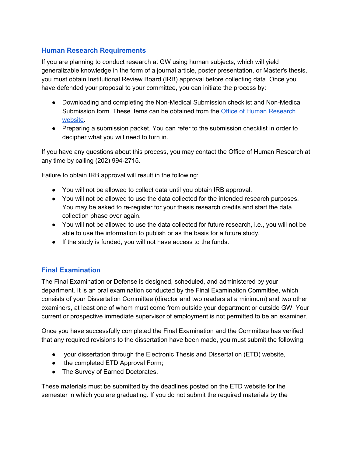#### <span id="page-15-0"></span>**Human Research Requirements**

If you are planning to conduct research at GW using human subjects, which will yield generalizable knowledge in the form of a journal article, poster presentation, or Master's thesis, you must obtain Institutional Review Board (IRB) approval before collecting data. Once you have defended your proposal to your committee, you can initiate the process by:

- Downloading and completing the Non-Medical Submission checklist and Non-Medical Submission form. These items can be obtained from the Office of Human [Research](https://humanresearch.gwu.edu/IRBforms) [website.](https://humanresearch.gwu.edu/IRBforms)
- Preparing a submission packet. You can refer to the submission checklist in order to decipher what you will need to turn in.

If you have any questions about this process, you may contact the Office of Human Research at any time by calling (202) 994-2715.

Failure to obtain IRB approval will result in the following:

- You will not be allowed to collect data until you obtain IRB approval.
- You will not be allowed to use the data collected for the intended research purposes. You may be asked to re-register for your thesis research credits and start the data collection phase over again.
- You will not be allowed to use the data collected for future research, i.e., you will not be able to use the information to publish or as the basis for a future study.
- If the study is funded, you will not have access to the funds.

#### <span id="page-15-1"></span>**Final Examination**

The Final Examination or Defense is designed, scheduled, and administered by your department. It is an oral examination conducted by the Final Examination Committee, which consists of your Dissertation Committee (director and two readers at a minimum) and two other examiners, at least one of whom must come from outside your department or outside GW. Your current or prospective immediate supervisor of employment is not permitted to be an examiner.

Once you have successfully completed the Final Examination and the Committee has verified that any required revisions to the dissertation have been made, you must submit the following:

- your dissertation through the Electronic Thesis and Dissertation (ETD) website,
- the completed ETD Approval Form;
- The Survey of Earned Doctorates.

These materials must be submitted by the deadlines posted on the ETD website for the semester in which you are graduating. If you do not submit the required materials by the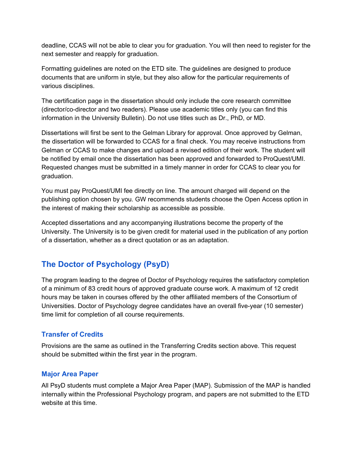deadline, CCAS will not be able to clear you for graduation. You will then need to register for the next semester and reapply for graduation.

Formatting guidelines are noted on the ETD site. The guidelines are designed to produce documents that are uniform in style, but they also allow for the particular requirements of various disciplines.

The certification page in the dissertation should only include the core research committee (director/co-director and two readers). Please use academic titles only (you can find this information in the University Bulletin). Do not use titles such as Dr., PhD, or MD.

Dissertations will first be sent to the Gelman Library for approval. Once approved by Gelman, the dissertation will be forwarded to CCAS for a final check. You may receive instructions from Gelman or CCAS to make changes and upload a revised edition of their work. The student will be notified by email once the dissertation has been approved and forwarded to ProQuest/UMI. Requested changes must be submitted in a timely manner in order for CCAS to clear you for graduation.

You must pay ProQuest/UMI fee directly on line. The amount charged will depend on the publishing option chosen by you. GW recommends students choose the Open Access option in the interest of making their scholarship as accessible as possible.

Accepted dissertations and any accompanying illustrations become the property of the University. The University is to be given credit for material used in the publication of any portion of a dissertation, whether as a direct quotation or as an adaptation.

# <span id="page-16-0"></span>**The Doctor of Psychology (PsyD)**

The program leading to the degree of Doctor of Psychology requires the satisfactory completion of a minimum of 83 credit hours of approved graduate course work. A maximum of 12 credit hours may be taken in courses offered by the other affiliated members of the Consortium of Universities. Doctor of Psychology degree candidates have an overall five-year (10 semester) time limit for completion of all course requirements.

#### <span id="page-16-1"></span>**Transfer of Credits**

Provisions are the same as outlined in the Transferring Credits section above. This request should be submitted within the first year in the program.

#### <span id="page-16-2"></span>**Major Area Paper**

All PsyD students must complete a Major Area Paper (MAP). Submission of the MAP is handled internally within the Professional Psychology program, and papers are not submitted to the ETD website at this time.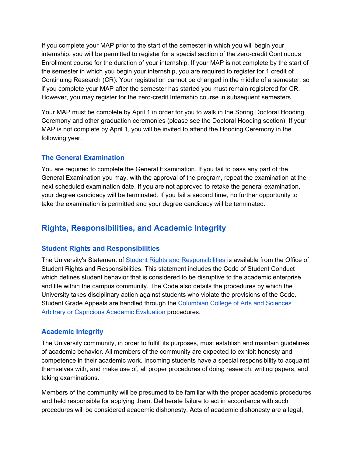If you complete your MAP prior to the start of the semester in which you will begin your internship, you will be permitted to register for a special section of the zero-credit Continuous Enrollment course for the duration of your internship. If your MAP is not complete by the start of the semester in which you begin your internship, you are required to register for 1 credit of Continuing Research (CR). Your registration cannot be changed in the middle of a semester, so if you complete your MAP after the semester has started you must remain registered for CR. However, you may register for the zero-credit Internship course in subsequent semesters.

Your MAP must be complete by April 1 in order for you to walk in the Spring Doctoral Hooding Ceremony and other graduation ceremonies (please see the Doctoral Hooding section). If your MAP is not complete by April 1, you will be invited to attend the Hooding Ceremony in the following year.

#### <span id="page-17-0"></span>**The General Examination**

You are required to complete the General Examination. If you fail to pass any part of the General Examination you may, with the approval of the program, repeat the examination at the next scheduled examination date. If you are not approved to retake the general examination, your degree candidacy will be terminated. If you fail a second time, no further opportunity to take the examination is permitted and your degree candidacy will be terminated.

# <span id="page-17-1"></span>**Rights, Responsibilities, and Academic Integrity**

#### <span id="page-17-2"></span>**Student Rights and Responsibilities**

The University's Statement of Student Rights and [Responsibilities](https://studentconduct.gwu.edu/student-rights-responsibilities) is available from the Office of Student Rights and Responsibilities. This statement includes the Code of Student Conduct which defines student behavior that is considered to be disruptive to the academic enterprise and life within the campus community. The Code also details the procedures by which the University takes disciplinary action against students who violate the provisions of the Code. Student Grade Appeals are handled through the [Columbian](http://columbian.gwu.edu/sites/default/files/u6/grading.pdf) College of Arts and Sciences Arbitrary or [Capricious](http://columbian.gwu.edu/sites/default/files/u6/grading.pdf) Academic Evaluation procedures.

#### <span id="page-17-3"></span>**Academic Integrity**

The University community, in order to fulfill its purposes, must establish and maintain guidelines of academic behavior. All members of the community are expected to exhibit honesty and competence in their academic work. Incoming students have a special responsibility to acquaint themselves with, and make use of, all proper procedures of doing research, writing papers, and taking examinations.

Members of the community will be presumed to be familiar with the proper academic procedures and held responsible for applying them. Deliberate failure to act in accordance with such procedures will be considered academic dishonesty. Acts of academic dishonesty are a legal,